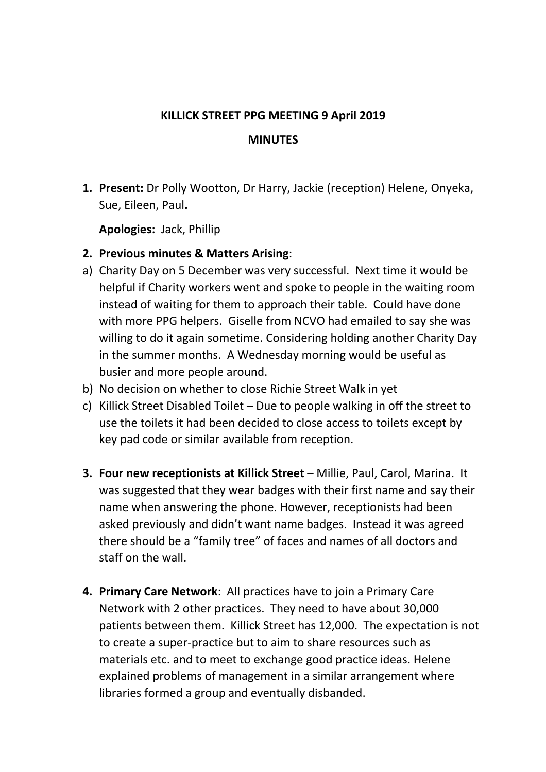## **KILLICK STREET PPG MEETING 9 April 2019 MINUTES**

**1. Present:** Dr Polly Wootton, Dr Harry, Jackie (reception) Helene, Onyeka, Sue, Eileen, Paul**.**

**Apologies:** Jack, Phillip

- **2. Previous minutes & Matters Arising**:
- a) Charity Day on 5 December was very successful. Next time it would be helpful if Charity workers went and spoke to people in the waiting room instead of waiting for them to approach their table. Could have done with more PPG helpers. Giselle from NCVO had emailed to say she was willing to do it again sometime. Considering holding another Charity Day in the summer months. A Wednesday morning would be useful as busier and more people around.
- b) No decision on whether to close Richie Street Walk in yet
- c) Killick Street Disabled Toilet Due to people walking in off the street to use the toilets it had been decided to close access to toilets except by key pad code or similar available from reception.
- **3. Four new receptionists at Killick Street** Millie, Paul, Carol, Marina.It was suggested that they wear badges with their first name and say their name when answering the phone. However, receptionists had been asked previously and didn't want name badges. Instead it was agreed there should be a "family tree" of faces and names of all doctors and staff on the wall.
- **4. Primary Care Network**: All practices have to join a Primary Care Network with 2 other practices. They need to have about 30,000 patients between them. Killick Street has 12,000. The expectation is not to create a super-practice but to aim to share resources such as materials etc. and to meet to exchange good practice ideas. Helene explained problems of management in a similar arrangement where libraries formed a group and eventually disbanded.